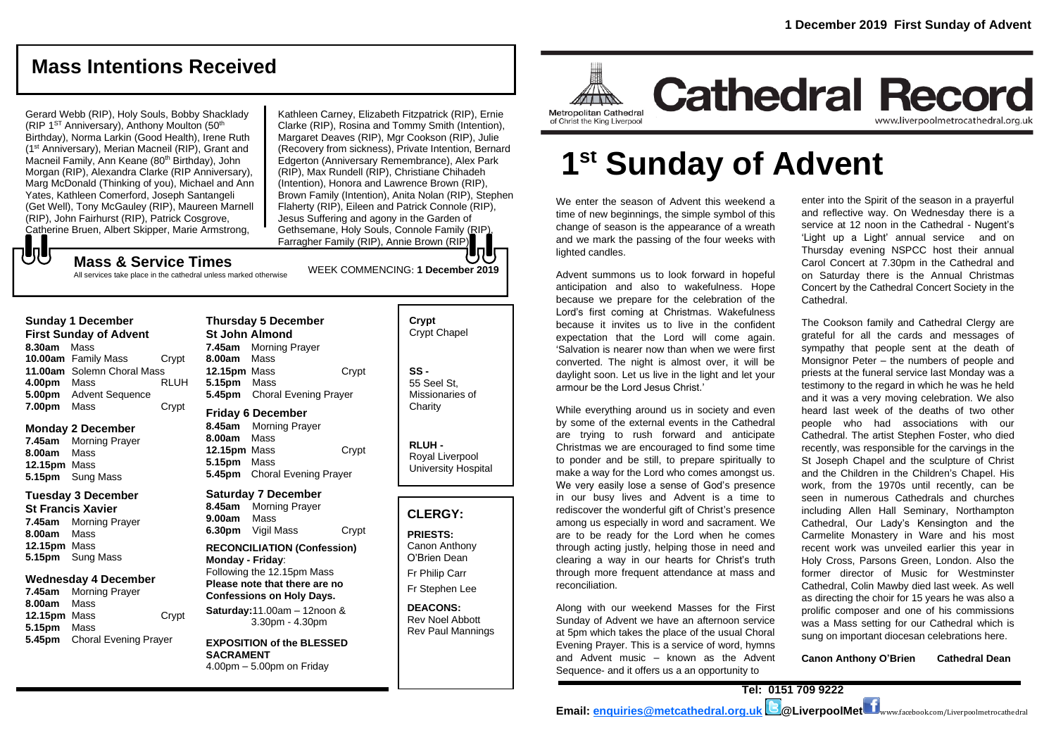www.liverpoolmetrocathedral.org.uk

**Cathedral Record** 

## **Mass Intentions Received**

Gerard Webb (RIP), Holy Souls, Bobby Shacklady (RIP  $1<sup>ST</sup>$  Anniversary), Anthony Moulton (50<sup>th</sup>) Birthday), Norma Larkin (Good Health), Irene Ruth (1st Anniversary), Merian Macneil (RIP), Grant and Macneil Family, Ann Keane (80<sup>th</sup> Birthday), John Morgan (RIP), Alexandra Clarke (RIP Anniversary), Marg McDonald (Thinking of you), Michael and Ann Yates, Kathleen Comerford, Joseph Santangeli (Get Well), Tony McGauley (RIP), Maureen Marnell (RIP), John Fairhurst (RIP), Patrick Cosgrove, Catherine Bruen, Albert Skipper, Marie Armstrong,

Kathleen Carney, Elizabeth Fitzpatrick (RIP), Ernie Clarke (RIP), Rosina and Tommy Smith (Intention), Margaret Deaves (RIP), Mgr Cookson (RIP), Julie (Recovery from sickness), Private Intention, Bernard Edgerton (Anniversary Remembrance), Alex Park (RIP), Max Rundell (RIP), Christiane Chihadeh (Intention), Honora and Lawrence Brown (RIP), Brown Family (Intention), Anita Nolan (RIP), Stephen Flaherty (RIP), Eileen and Patrick Connole (RIP), Jesus Suffering and agony in the Garden of Gethsemane, Holy Souls, Connole Family (RIP), Farragher Family (RIP), Annie Brown (RIP).

WEEK COMMENCING: **1 December 2019**

## **Mass & Service Times**

All services take place in the cathedral unless marked otherwise

#### **Sunday 1 December**

心し

**First Sunday of Advent 8.30am** Mass **10.00am** Family Mass Crypt **11.00am** Solemn Choral Mass **4.00pm** Mass RLUH **5.00pm** Advent Sequence **7.00pm** Mass Crypt

#### **Monday 2 December**

**7.45am** Morning Prayer **8.00am** Mass **12.15pm** Mass **5.15pm** Sung Mass

### **Tuesday 3 December**

**St Francis Xavier 7.45am** Morning Prayer **8.00am** Mass **12.15pm** Mass **5.15pm** Sung Mass

#### **Wednesday 4 December**

**7.45am** Morning Prayer **8.00am** Mass **12.15pm** Mass Crypt **5.15pm** Mass **5.45pm** Choral Evening Prayer

**Thursday 5 December St John Almond 7.45am** Morning Prayer **8.00am** Mass **12.15pm** Mass Crypt **5.15pm** Mass **5.45pm** Choral Evening Prayer **Friday 6 December**

**8.45am** Morning Prayer **8.00am** Mass **12.15pm** Mass Crypt **5.15pm** Mass **5.45pm** Choral Evening Prayer

#### **Saturday 7 December**

**8.45am** Morning Prayer **9.00am** Mass **6.30pm** Vigil Mass Crypt

#### **RECONCILIATION (Confession) Monday - Friday**: Following the 12.15pm Mass **Please note that there are no Confessions on Holy Days.**

**Saturday:**11.00am – 12noon & 3.30pm - 4.30pm

**EXPOSITION of the BLESSED SACRAMENT** 4.00pm – 5.00pm on Friday

| Crypt<br><b>Crypt Chapel</b>                      |
|---------------------------------------------------|
| SS -<br>55 Seel St.<br>Missionaries of<br>Charity |

**RLUH -** Royal Liverpool University Hospital

## **CLERGY:**

**PRIESTS:** Canon Anthony O'Brien *Dean* Fr Philip Carr

Fr Stephen Lee

**DEACONS:** Rev Noel Abbott Rev Paul Mannings

# **1 st Sunday of Advent**

We enter the season of Advent this weekend a time of new beginnings, the simple symbol of this change of season is the appearance of a wreath and we mark the passing of the four weeks with lighted candles.

Metropolitan Cathedral

of Christ the King Liverpool

Advent summons us to look forward in hopeful anticipation and also to wakefulness. Hope because we prepare for the celebration of the Lord's first coming at Christmas. Wakefulness because it invites us to live in the confident expectation that the Lord will come again. 'Salvation is nearer now than when we were first converted. The night is almost over, it will be daylight soon. Let us live in the light and let your armour be the Lord Jesus Christ.'

While everything around us in society and even by some of the external events in the Cathedral are trying to rush forward and anticipate Christmas we are encouraged to find some time to ponder and be still, to prepare spiritually to make a way for the Lord who comes amongst us. We very easily lose a sense of God's presence in our busy lives and Advent is a time to rediscover the wonderful gift of Christ's presence among us especially in word and sacrament. We are to be ready for the Lord when he comes through acting justly, helping those in need and clearing a way in our hearts for Christ's truth through more frequent attendance at mass and reconciliation.

Along with our weekend Masses for the First Sunday of Advent we have an afternoon service at 5pm which takes the place of the usual Choral Evening Prayer. This is a service of word, hymns and Advent music – known as the Advent Sequence- and it offers us a an opportunity to

enter into the Spirit of the season in a prayerful and reflective way. On Wednesday there is a service at 12 noon in the Cathedral - Nugent's 'Light up a Light' annual service and on Thursday evening NSPCC host their annual Carol Concert at 7.30pm in the Cathedral and on Saturday there is the Annual Christmas Concert by the Cathedral Concert Society in the Cathedral.

The Cookson family and Cathedral Clergy are grateful for all the cards and messages of sympathy that people sent at the death of Monsignor Peter – the numbers of people and priests at the funeral service last Monday was a testimony to the regard in which he was he held and it was a very moving celebration. We also heard last week of the deaths of two other people who had associations with our Cathedral. The artist Stephen Foster, who died recently, was responsible for the carvings in the St Joseph Chapel and the sculpture of Christ and the Children in the Children's Chapel. His work, from the 1970s until recently, can be seen in numerous Cathedrals and churches including Allen Hall Seminary, Northampton Cathedral, Our Lady's Kensington and the Carmelite Monastery in Ware and his most recent work was unveiled earlier this year in Holy Cross, Parsons Green, London. Also the former director of Music for Westminster Cathedral, Colin Mawby died last week. As well as directing the choir for 15 years he was also a prolific composer and one of his commissions was a Mass setting for our Cathedral which is sung on important diocesan celebrations here.

**Canon Anthony O'Brien Cathedral Dean**